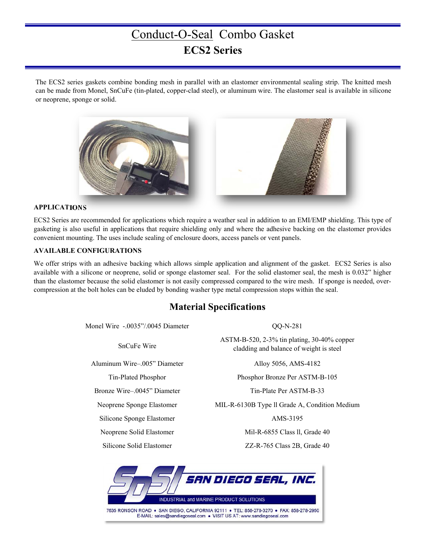# Conduct-O-Seal Combo Gasket **ECS2 Series**

The ECS2 series gaskets combine bonding mesh in parallel with an elastomer environmental sealing strip. The knitted mesh can be made from Monel, SnCuFe (tin-plated, copper-clad steel), or aluminum wire. The elastomer seal is available in silicone or neoprene, sponge or solid.



#### **APPLICATIONS**

ECS2 Series are recommended for applications which require a weather seal in addition to an EMI/EMP shielding. This type of gasketing is also useful in applications that require shielding only and where the adhesive backing on the elastomer provides convenient mounting. The uses include sealing of enclosure doors, access panels or vent panels.

#### **AVAILABLE CONFIGURATIONS**

We offer strips with an adhesive backing which allows simple application and alignment of the gasket. ECS2 Series is also available with a silicone or neoprene, solid or sponge elastomer seal. For the solid elastomer seal, the mesh is 0.032" higher than the elastomer because the solid elastomer is not easily compressed compared to the wire mesh. If sponge is needed, overcompression at the bolt holes can be eluded by bonding washer type metal compression stops within the seal.

### **Material Specifications**

Monel Wire -.0035"/.0045 Diameter QQ-N-281

Aluminum Wire–.005" Diameter Alloy 5056, AMS-4182

Bronze Wire–.0045" Diameter Tin-Plate Per ASTM-B-33

Silicone Sponge Elastomer AMS-3195

SnCuFe Wire<br>SnCuFe Wire ASTM-B-520, 2-3% tin plating, 30-40% copper cladding and balance of weight is steel

Tin-Plated Phosphor Phosphor Bronze Per ASTM-B-105

Neoprene Sponge Elastomer MIL-R-6130B Type ll Grade A, Condition Medium

Neoprene Solid Elastomer Mil-R-6855 Class ll, Grade 40

Silicone Solid Elastomer ZZ-R-765 Class 2B, Grade 40

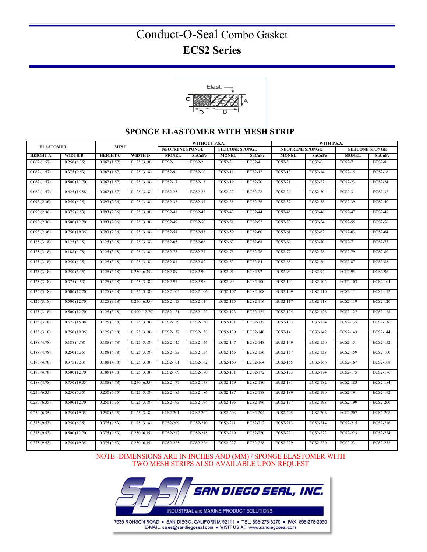# Conduct-O-Seal Combo Gasket **ECS2 Series**



### **SPONGE ELASTOMER WITH MESH STRIP**

| <b>ELASTOMER</b> |                           | <b>MESH</b>     |              | WITHOUT P.S.A.         |                |                        |                 | WITH P.S.A.            |                |                        |                 |
|------------------|---------------------------|-----------------|--------------|------------------------|----------------|------------------------|-----------------|------------------------|----------------|------------------------|-----------------|
|                  |                           |                 |              | <b>NEOPRENE SPONGE</b> |                | <b>SILICONE SPONGE</b> |                 | <b>NEOPRENE SPONGE</b> |                | <b>SILICONE SPONGE</b> |                 |
| <b>HEIGHT A</b>  | <b>WIDTH B</b>            | <b>HEIGHT C</b> | WIDTH D      | <b>MONEL</b>           | SnCuFe         | <b>MONEL</b>           | SnCuFe          | <b>MONEL</b>           | SnCuFe         | <b>MONEL</b>           | SnCuFe          |
| 0.062(1.57)      | 0.250(6.35)               | 0.062(1.57)     | 0.125(3.18)  | <b>ECS2-1</b>          | $ECS2-2$       | $ECS2-3$               | $ECS2-4$        | $ECS2-5$               | <b>ECS2-6</b>  | $ECS2-7$               | $ECS2-8$        |
| 0.062(1.57)      | 0.375(9.53)               | 0.062(1.57)     | 0.125(3.18)  | <b>ECS2-9</b>          | ECS2-10        | ECS2-11                | ECS2-12         | ECS2-13                | ECS2-14        | ECS2-15                | ECS2-16         |
| 0.062(1.57)      | 0.500(12.70)              | 0.062(1.57)     | 0.125(3.18)  | ECS2-17                | <b>ECS2-18</b> | <b>ECS2-19</b>         | <b>ECS2-20</b>  | ECS2-21                | <b>ECS2-22</b> | ECS2-23                | <b>ECS2-24</b>  |
| 0.062(1.57)      | 0.625(15.88)              | 0.062(1.57)     | 0.125(3.18)  | ECS2-25                | ECS2-26        | ECS2-27                | <b>ECS2-28</b>  | ECS2-29                | ECS2-30        | ECS2-31                | ECS2-32         |
| 0.093(2.36)      | 0.250(6.35)               | 0.093(2.36)     | 0.125(3.18)  | <b>ECS2-33</b>         | ECS2-34        | ECS2-35                | ECS2-36         | ECS2-37                | <b>ECS2-38</b> | ECS2-39                | <b>ECS2-40</b>  |
| 0.093(2.36)      | 0.375(9.53)               | 0.093(2.36)     | 0.125(3.18)  | ECS2-41                | ECS2-42        | ECS2-43                | <b>ECS2-44</b>  | <b>ECS2-45</b>         | <b>ECS2-46</b> | ECS2-47                | <b>ECS2-48</b>  |
| 0.093(2.36)      | 0.500(12.70)              | 0.093(2.36)     | 0.125(3.18)  | <b>ECS2-49</b>         | ECS2-50        | ECS2-51                | ECS2-52         | ECS2-53                | ECS2-54        | ECS2-55                | ECS2-56         |
| 0.093(2.36)      | 0.750(19.05)              | 0.093(2.36)     | 0.125(3.18)  | ECS2-57                | <b>ECS2-58</b> | ECS2-59                | <b>ECS2-60</b>  | ECS2-61                | ECS2-62        | ECS2-63                | <b>ECS2-64</b>  |
| 0.125(3.18)      | 0.125(3.18)               | 0.125(3.18)     | 0.125(3.18)  | ECS2-65                | <b>ECS2-66</b> | <b>ECS2-67</b>         | <b>ECS2-68</b>  | <b>ECS2-69</b>         | <b>ECS2-70</b> | ECS2-71                | ECS2-72         |
| 0.125(3.18)      | 0.188(4.78)               | 0.125(3.18)     | 0.125(3.18)  | ECS2-73                | ECS2-74        | ECS2-75                | ECS2-76         | <b>ECS2-77</b>         | <b>ECS2-78</b> | ECS2-79                | <b>ECS2-80</b>  |
| 0.125(3.18)      | 0.250(6.35)               | 0.125(3.18)     | 0.125(3.18)  | <b>ECS2-81</b>         | <b>ECS2-82</b> | <b>ECS2-83</b>         | <b>ECS2-84</b>  | <b>ECS2-85</b>         | <b>ECS2-86</b> | <b>ECS2-87</b>         | <b>ECS2-88</b>  |
| 0.125(3.18)      | 0.250(6.35)               | 0.125(3.18)     | 0.250(6.35)  | <b>ECS2-89</b>         | <b>ECS2-90</b> | ECS2-91                | <b>ECS2-92</b>  | <b>ECS2-93</b>         | <b>ECS2-94</b> | ECS2-95                | ECS2-96         |
| 0.125(3.18)      | 0.375(9.53)               | 0.125(3.18)     | 0.125(3.18)  | <b>ECS2-97</b>         | <b>ECS2-98</b> | <b>ECS2-99</b>         | <b>ECS2-100</b> | ECS2-101               | ECS2-102       | ECS2-103               | <b>ECS2-104</b> |
| 0.125(3.18)      | 0.500(12.70)              | 0.125(3.18)     | 0.125(3.18)  | ECS2-105               | ECS2-106       | ECS2-107               | <b>ECS2-108</b> | ECS2-109               | ECS2-110       | ECS2-111               | ECS2-112        |
| 0.125(3.18)      | 0.500(12.70)              | 0.125(3.18)     | 0.250(6.35)  | ECS2-113               | ECS2-114       | ECS2-115               | ECS2-116        | ECS2-117               | ECS2-118       | ECS2-119               | ECS2-120        |
| 0.125(3.18)      | 0.500(12.70)              | 0.125(3.18)     | 0.500(12.70) | ECS2-121               | ECS2-122       | ECS2-123               | ECS2-124        | ECS2-125               | ECS2-126       | ECS2-127               | ECS2-128        |
| 0.125(3.18)      | 0.625(15.88)              | 0.125(3.18)     | 0.125(3.18)  | ECS2-129               | ECS2-130       | ECS2-131               | ECS2-132        | ECS2-133               | ECS2-134       | ECS2-135               | ECS2-136        |
| 0.125(3.18)      | 0.750(19.05)              | 0.125(3.18)     | 0.125(3.18)  | ECS2-137               | ECS2-138       | ECS2-139               | ECS2-140        | ECS2-141               | ECS2-142       | ECS2-143               | ECS2-144        |
| 0.188(4.78)      | 0.188(4.78)               | 0.188(4.78)     | 0.125(3.18)  | ECS2-145               | ECS2-146       | ECS2-147               | ECS2-148        | ECS2-149               | ECS2-150       | ECS2-151               | ECS2-152        |
| 0.188(4.78)      | 0.250(6.35)               | 0.188(4.78)     | 0.125(3.18)  | ECS2-153               | ECS2-154       | ECS2-155               | ECS2-156        | ECS2-157               | ECS2-158       | ECS2-159               | ECS2-160        |
| 0.188(4.78)      | 0.375(9.53)               | 0.188(4.78)     | 0.125(3.18)  | ECS2-161               | ECS2-162       | ECS2-163               | ECS2-164        | ECS2-165               | ECS2-166       | ECS2-167               | ECS2-168        |
| 0.188(4.78)      | 0.500(12.70)              | 0.188(4.78)     | 0.125(3.18)  | ECS2-169               | ECS2-170       | ECS2-171               | ECS2-172        | ECS2-173               | ECS2-174       | ECS2-175               | ECS2-176        |
| 0.188(4.78)      | 0.750(19.05)              | 0.188(4.78)     | 0.250(6.35)  | ECS2-177               | ECS2-178       | ECS2-179               | ECS2-180        | ECS2-181               | ECS2-182       | ECS2-183               | ECS2-184        |
| 0.250(6.35)      | 0.250(6.35)               | 0.250(6.35)     | 0.125(3.18)  | ECS2-185               | ECS2-186       | ECS2-187               | ECS2-188        | ECS2-189               | ECS2-190       | ECS2-191               | ECS2-192        |
| 0.250(6.35)      | 0.500(12.70)              | 0.250(6.35)     | 0.125(3.18)  | ECS2-193               | ECS2-194       | ECS2-195               | ECS2-196        | ECS2-197               | ECS2-198       | ECS2-199               | <b>ECS2-200</b> |
| 0.250(6.35)      | 0.750(19.05)              | 0.250(6.35)     | 0.125(3.18)  | ECS2-201               | ECS2-202       | ECS2-203               | ECS2-204        | ECS2-205               | ECS2-206       | ECS2-207               | <b>ECS2-208</b> |
| 0.375(9.53)      | 0.250(6.35)               | 0.375(9.53)     | 0.125(3.18)  | ECS2-209               | ECS2-210       | ECS2-211               | ECS2-212        | ECS2-213               | ECS2-214       | ECS2-215               | ECS2-216        |
| 0.375(9.53)      | 0.500(12.70)              | 0.375(9.53)     | 0.250(6.35)  | ECS2-217               | ECS2-218       | ECS2-219               | ECS2-220        | ECS2-221               | ECS2-222       | ECS2-223               | ECS2-224        |
| 0.375(9.53)      | $\overline{0.7}50(19.05)$ | 0.375(9.53)     | 0.250(6.35)  | ECS2-225               | ECS2-226       | ECS2-227               | ECS2-228        | ECS2-229               | ECS2-230       | ECS2-231               | ECS2-232        |

NOTE- DIMENSIONS ARE IN INCHES AND (MM) / SPONGE ELASTOMER WITH TWO MESH STRIPS ALSO AVAILABLE UPON REQUEST



7635 RONSON ROAD • SAN DIEGO, CALIFORNIA 92111 • TEL: 858-278-3270 • FAX: 858-278-2950<br>E-MAIL: sales@sandiegoseal.com • VISIT US AT: www.sandiegoseal.com